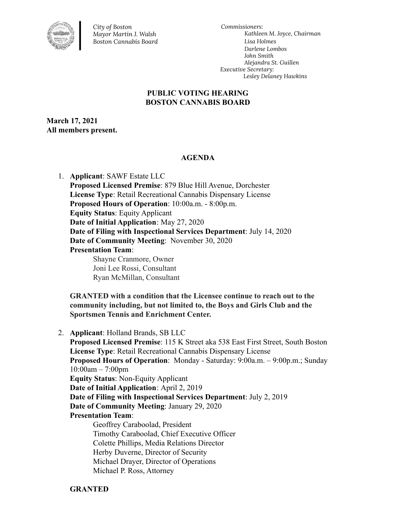

*City of Boston Mayor Martin J. Walsh Boston Cannabis Board*

*Commissioners: Kathleen M. Joyce, Chairman Lisa Holmes Darlene Lombos John Smith Alejandra St. Guillen Executive Secretary: Lesley Delaney Hawkins*

## **PUBLIC VOTING HEARING BOSTON CANNABIS BOARD**

**March 17, 2021 All members present.**

## **AGENDA**

1. **Applicant**: SAWF Estate LLC **Proposed Licensed Premise**: 879 Blue Hill Avenue, Dorchester **License Type**: Retail Recreational Cannabis Dispensary License **Proposed Hours of Operation**: 10:00a.m. - 8:00p.m. **Equity Status**: Equity Applicant **Date of Initial Application**: May 27, 2020 **Date of Filing with Inspectional Services Department**: July 14, 2020 **Date of Community Meeting**: November 30, 2020 **Presentation Team**: Shayne Cranmore, Owner Joni Lee Rossi, Consultant Ryan McMillan, Consultant

**GRANTED with a condition that the Licensee continue to reach out to the community including, but not limited to, the Boys and Girls Club and the Sportsmen Tennis and Enrichment Center.**

2. **Applicant**: Holland Brands, SB LLC **Proposed Licensed Premise**: 115 K Street aka 538 East First Street, South Boston **License Type**: Retail Recreational Cannabis Dispensary License **Proposed Hours of Operation**: Monday - Saturday: 9:00a.m. – 9:00p.m.; Sunday 10:00am – 7:00pm **Equity Status**: Non-Equity Applicant **Date of Initial Application**: April 2, 2019 **Date of Filing with Inspectional Services Department**: July 2, 2019 **Date of Community Meeting**: January 29, 2020 **Presentation Team**: Geoffrey Caraboolad, President Timothy Caraboolad, Chief Executive Officer Colette Phillips, Media Relations Director Herby Duverne, Director of Security Michael Drayer, Director of Operations Michael P. Ross, Attorney

**GRANTED**